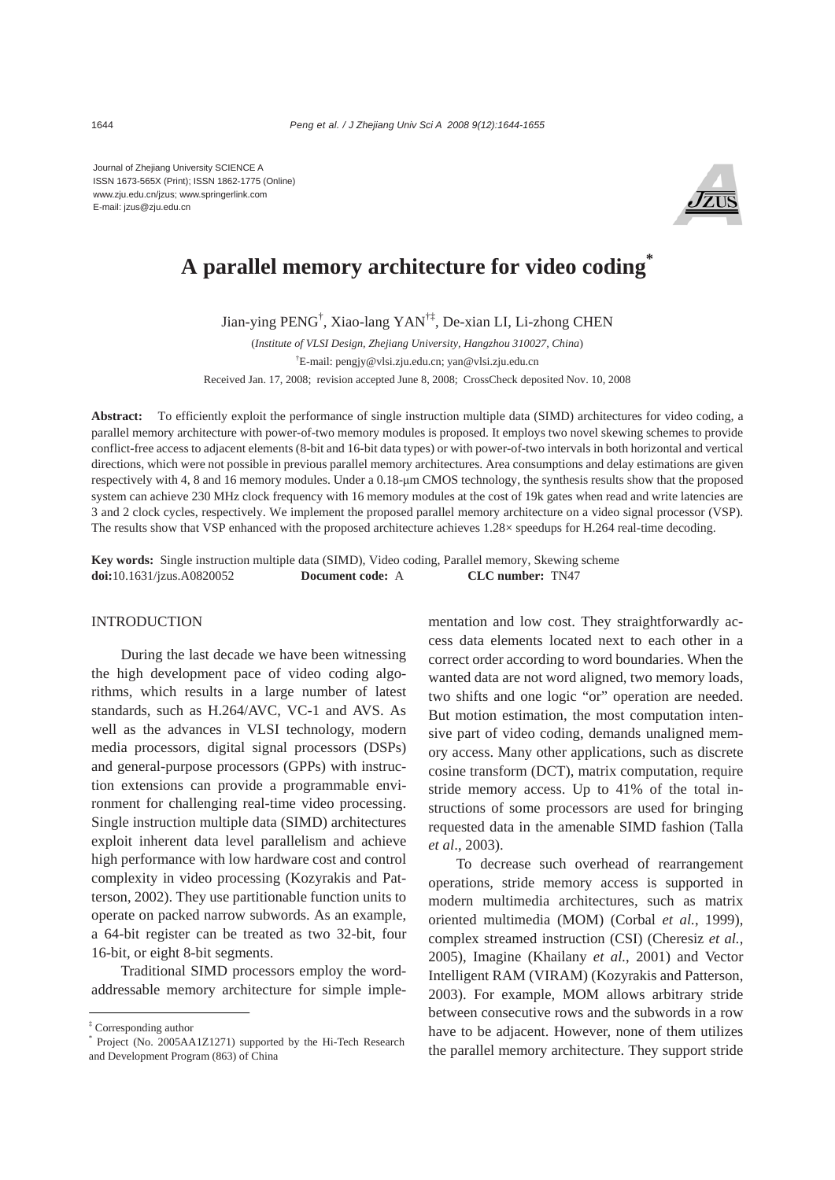Journal of Zhejiang University SCIENCE A ISSN 1673-565X (Print); ISSN 1862-1775 (Online) www.zju.edu.cn/jzus; www.springerlink.com E-mail: jzus@zju.edu.cn



# **A parallel memory architecture for video coding\***

Jian-ying PENG† , Xiao-lang YAN†‡, De-xian LI, Li-zhong CHEN

(*Institute of VLSI Design, Zhejiang University, Hangzhou 310027, China*) † E-mail: pengjy@vlsi.zju.edu.cn; yan@vlsi.zju.edu.cn Received Jan. 17, 2008; revision accepted June 8, 2008; CrossCheck deposited Nov. 10, 2008

**Abstract:** To efficiently exploit the performance of single instruction multiple data (SIMD) architectures for video coding, a parallel memory architecture with power-of-two memory modules is proposed. It employs two novel skewing schemes to provide conflict-free access to adjacent elements (8-bit and 16-bit data types) or with power-of-two intervals in both horizontal and vertical directions, which were not possible in previous parallel memory architectures. Area consumptions and delay estimations are given respectively with 4, 8 and 16 memory modules. Under a 0.18-μm CMOS technology, the synthesis results show that the proposed system can achieve 230 MHz clock frequency with 16 memory modules at the cost of 19k gates when read and write latencies are 3 and 2 clock cycles, respectively. We implement the proposed parallel memory architecture on a video signal processor (VSP). The results show that VSP enhanced with the proposed architecture achieves 1.28× speedups for H.264 real-time decoding.

**Key words:** Single instruction multiple data (SIMD), Video coding, Parallel memory, Skewing scheme **doi:**10.1631/jzus.A0820052 **Document code:** A **CLC number:** TN47

## **INTRODUCTION**

During the last decade we have been witnessing the high development pace of video coding algorithms, which results in a large number of latest standards, such as H.264/AVC, VC-1 and AVS. As well as the advances in VLSI technology, modern media processors, digital signal processors (DSPs) and general-purpose processors (GPPs) with instruction extensions can provide a programmable environment for challenging real-time video processing. Single instruction multiple data (SIMD) architectures exploit inherent data level parallelism and achieve high performance with low hardware cost and control complexity in video processing (Kozyrakis and Patterson, 2002). They use partitionable function units to operate on packed narrow subwords. As an example, a 64-bit register can be treated as two 32-bit, four 16-bit, or eight 8-bit segments.

Traditional SIMD processors employ the wordaddressable memory architecture for simple implementation and low cost. They straightforwardly access data elements located next to each other in a correct order according to word boundaries. When the wanted data are not word aligned, two memory loads, two shifts and one logic "or" operation are needed. But motion estimation, the most computation intensive part of video coding, demands unaligned memory access. Many other applications, such as discrete cosine transform (DCT), matrix computation, require stride memory access. Up to 41% of the total instructions of some processors are used for bringing requested data in the amenable SIMD fashion (Talla *et al*., 2003).

To decrease such overhead of rearrangement operations, stride memory access is supported in modern multimedia architectures, such as matrix oriented multimedia (MOM) (Corbal *et al.*, 1999), complex streamed instruction (CSI) (Cheresiz *et al.*, 2005), Imagine (Khailany *et al.*, 2001) and Vector Intelligent RAM (VIRAM) (Kozyrakis and Patterson, 2003). For example, MOM allows arbitrary stride between consecutive rows and the subwords in a row have to be adjacent. However, none of them utilizes the parallel memory architecture. They support stride

<sup>‡</sup> Corresponding author

<sup>\*</sup> Project (No. 2005AA1Z1271) supported by the Hi-Tech Research and Development Program (863) of China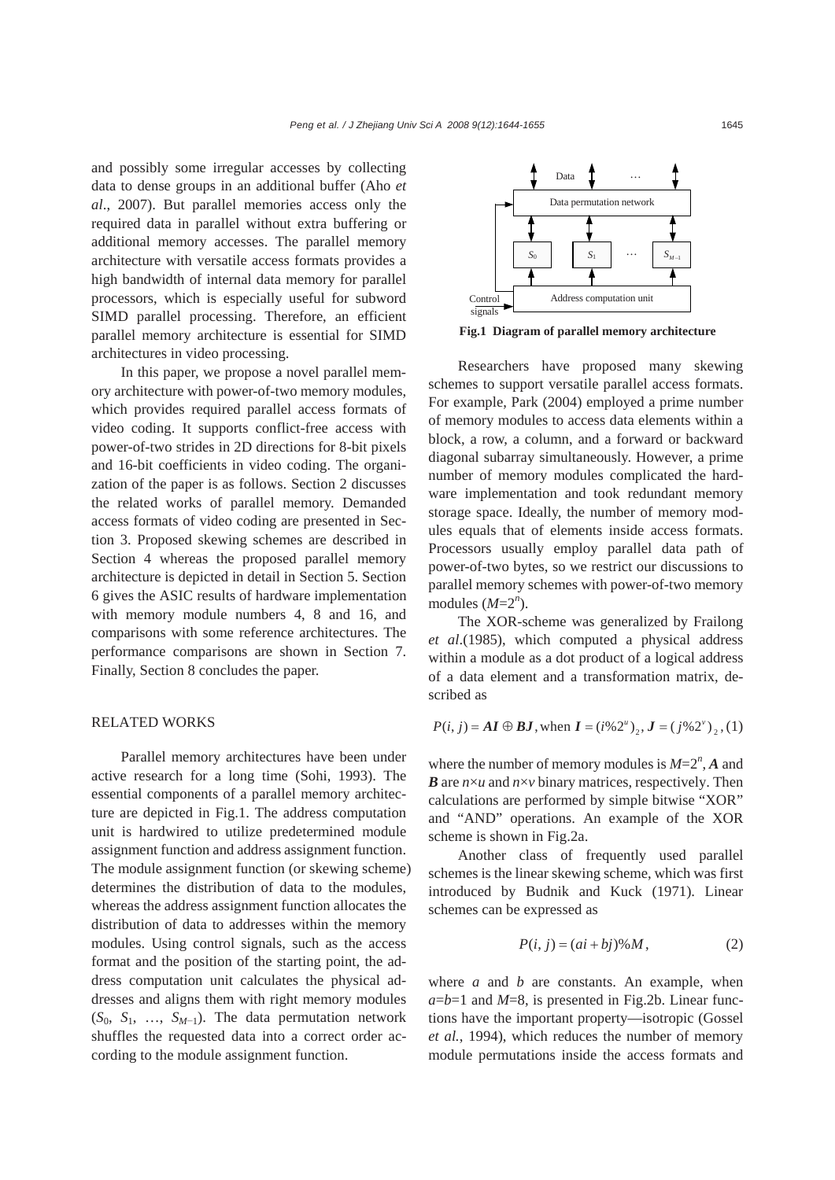and possibly some irregular accesses by collecting data to dense groups in an additional buffer (Aho *et al*., 2007). But parallel memories access only the required data in parallel without extra buffering or additional memory accesses. The parallel memory architecture with versatile access formats provides a high bandwidth of internal data memory for parallel processors, which is especially useful for subword SIMD parallel processing. Therefore, an efficient parallel memory architecture is essential for SIMD architectures in video processing.

In this paper, we propose a novel parallel memory architecture with power-of-two memory modules, which provides required parallel access formats of video coding. It supports conflict-free access with power-of-two strides in 2D directions for 8-bit pixels and 16-bit coefficients in video coding. The organization of the paper is as follows. Section 2 discusses the related works of parallel memory. Demanded access formats of video coding are presented in Section 3. Proposed skewing schemes are described in Section 4 whereas the proposed parallel memory architecture is depicted in detail in Section 5. Section 6 gives the ASIC results of hardware implementation with memory module numbers 4, 8 and 16, and comparisons with some reference architectures. The performance comparisons are shown in Section 7. Finally, Section 8 concludes the paper.

#### RELATED WORKS

Parallel memory architectures have been under active research for a long time (Sohi, 1993). The essential components of a parallel memory architecture are depicted in Fig.1. The address computation unit is hardwired to utilize predetermined module assignment function and address assignment function. The module assignment function (or skewing scheme) determines the distribution of data to the modules, whereas the address assignment function allocates the distribution of data to addresses within the memory modules. Using control signals, such as the access format and the position of the starting point, the address computation unit calculates the physical addresses and aligns them with right memory modules  $(S_0, S_1, \ldots, S_{M-1})$ . The data permutation network shuffles the requested data into a correct order according to the module assignment function.



**Fig.1 Diagram of parallel memory architecture** 

Researchers have proposed many skewing schemes to support versatile parallel access formats. For example, Park (2004) employed a prime number of memory modules to access data elements within a block, a row, a column, and a forward or backward diagonal subarray simultaneously. However, a prime number of memory modules complicated the hardware implementation and took redundant memory storage space. Ideally, the number of memory modules equals that of elements inside access formats. Processors usually employ parallel data path of power-of-two bytes, so we restrict our discussions to parallel memory schemes with power-of-two memory modules  $(M=2^n)$ .

The XOR-scheme was generalized by Frailong *et al*.(1985), which computed a physical address within a module as a dot product of a logical address of a data element and a transformation matrix, described as

$$
P(i, j) = AI \oplus BJ
$$
, when  $I = (i\%2^{u})_{2}, J = (j\%2^{v})_{2}, (1)$ 

where the number of memory modules is  $M=2^n$ , A and *B* are *n*×*u* and *n*×*v* binary matrices, respectively. Then calculations are performed by simple bitwise "XOR" and "AND" operations. An example of the XOR scheme is shown in Fig.2a.

Another class of frequently used parallel schemes is the linear skewing scheme, which was first introduced by Budnik and Kuck (1971). Linear schemes can be expressed as

$$
P(i, j) = (ai + bj)\%M,
$$
 (2)

where *a* and *b* are constants. An example, when  $a=b=1$  and  $M=8$ , is presented in Fig.2b. Linear functions have the important property—isotropic (Gossel *et al.*, 1994), which reduces the number of memory module permutations inside the access formats and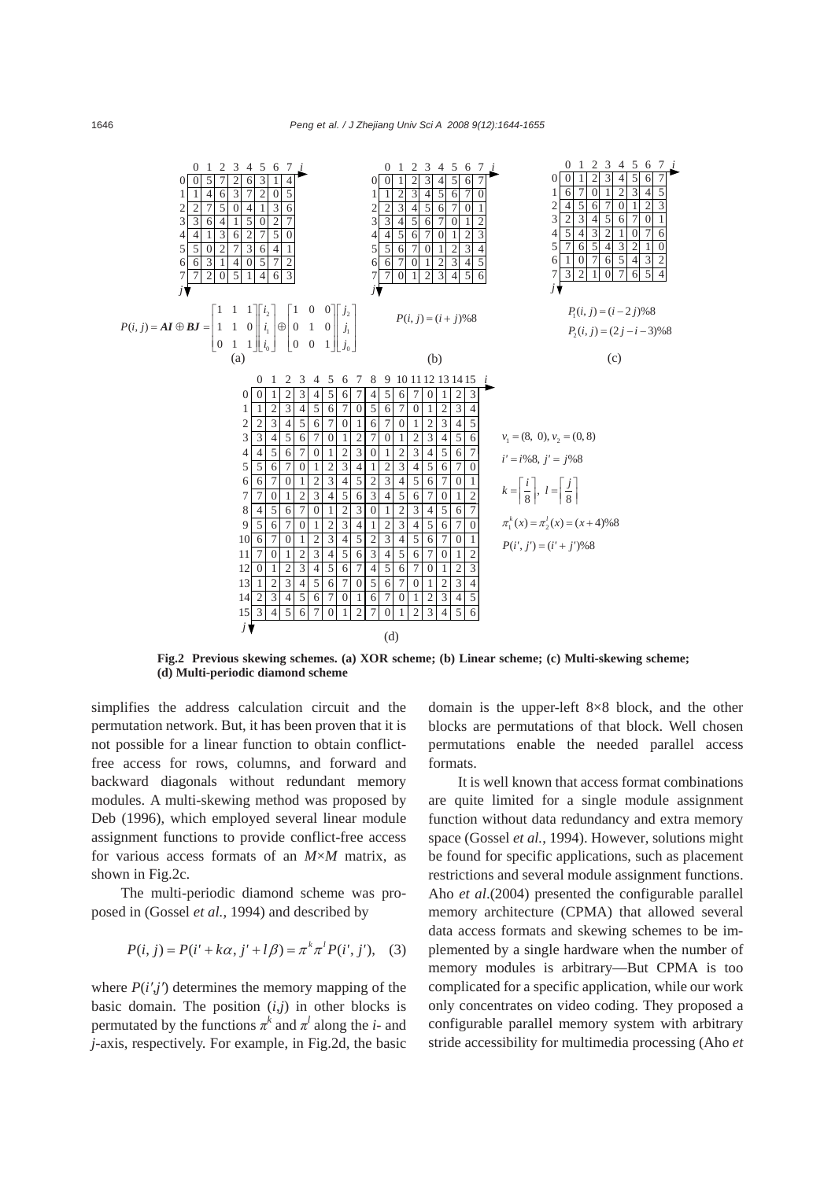

**Fig.2 Previous skewing schemes. (a) XOR scheme; (b) Linear scheme; (c) Multi-skewing scheme; (d) Multi-periodic diamond scheme** 

simplifies the address calculation circuit and the permutation network. But, it has been proven that it is not possible for a linear function to obtain conflictfree access for rows, columns, and forward and backward diagonals without redundant memory modules. A multi-skewing method was proposed by Deb (1996), which employed several linear module assignment functions to provide conflict-free access for various access formats of an *M*×*M* matrix, as shown in Fig.2c.

The multi-periodic diamond scheme was proposed in (Gossel *et al.*, 1994) and described by

$$
P(i, j) = P(i' + k\alpha, j' + l\beta) = \pi^{k} \pi^{l} P(i', j'), \quad (3)
$$

where  $P(i',j')$  determines the memory mapping of the basic domain. The position  $(i,j)$  in other blocks is permutated by the functions  $\pi^k$  and  $\pi^l$  along the *i*- and *j*-axis, respectively. For example, in Fig.2d, the basic

domain is the upper-left 8×8 block, and the other blocks are permutations of that block. Well chosen permutations enable the needed parallel access formats.

It is well known that access format combinations are quite limited for a single module assignment function without data redundancy and extra memory space (Gossel *et al.*, 1994). However, solutions might be found for specific applications, such as placement restrictions and several module assignment functions. Aho *et al*.(2004) presented the configurable parallel memory architecture (CPMA) that allowed several data access formats and skewing schemes to be implemented by a single hardware when the number of memory modules is arbitrary—But CPMA is too complicated for a specific application, while our work only concentrates on video coding. They proposed a configurable parallel memory system with arbitrary stride accessibility for multimedia processing (Aho *et*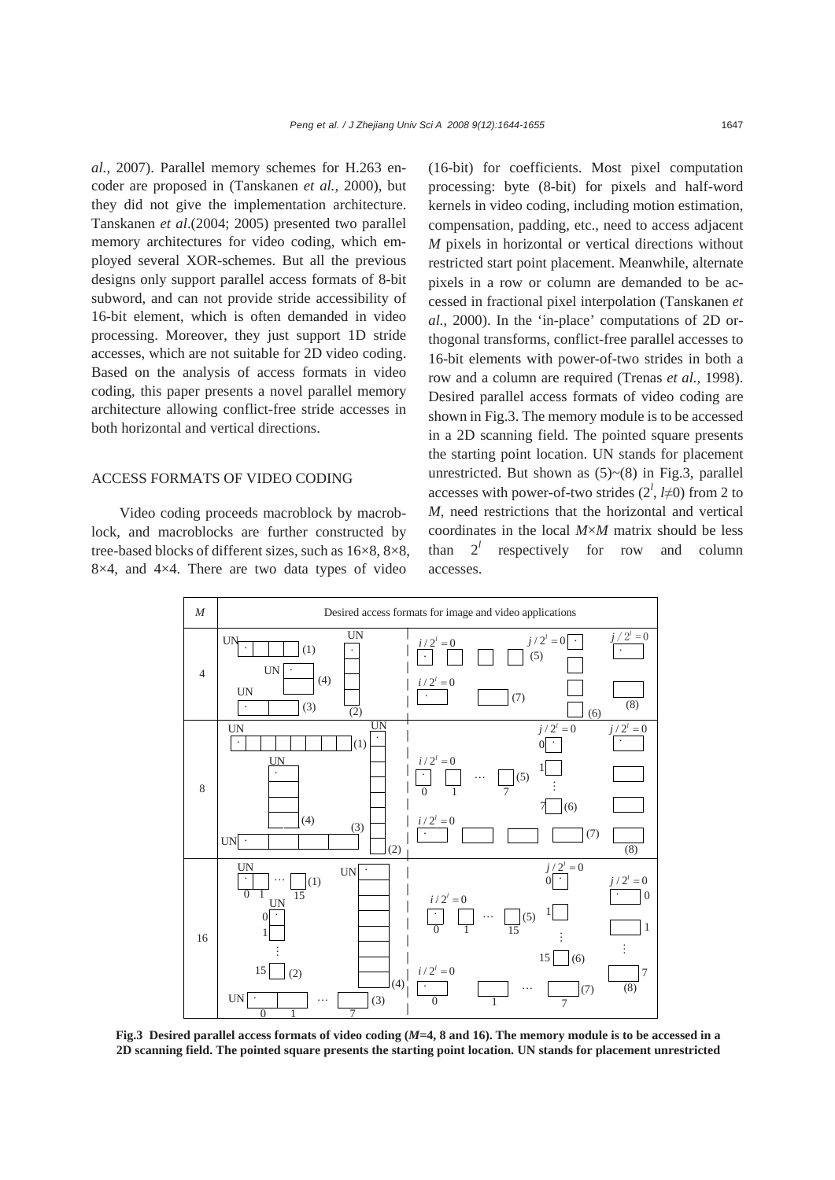*al.*, 2007). Parallel memory schemes for H.263 encoder are proposed in (Tanskanen *et al.*, 2000), but they did not give the implementation architecture. Tanskanen *et al*.(2004; 2005) presented two parallel memory architectures for video coding, which employed several XOR-schemes. But all the previous designs only support parallel access formats of 8-bit subword, and can not provide stride accessibility of 16-bit element, which is often demanded in video processing. Moreover, they just support 1D stride accesses, which are not suitable for 2D video coding. Based on the analysis of access formats in video coding, this paper presents a novel parallel memory architecture allowing conflict-free stride accesses in both horizontal and vertical directions.

#### ACCESS FORMATS OF VIDEO CODING

Video coding proceeds macroblock by macroblock, and macroblocks are further constructed by tree-based blocks of different sizes, such as 16×8, 8×8, 8×4, and 4×4. There are two data types of video

(16-bit) for coefficients. Most pixel computation processing: byte (8-bit) for pixels and half-word kernels in video coding, including motion estimation, compensation, padding, etc., need to access adjacent *M* pixels in horizontal or vertical directions without restricted start point placement. Meanwhile, alternate pixels in a row or column are demanded to be accessed in fractional pixel interpolation (Tanskanen *et al.*, 2000). In the 'in-place' computations of 2D orthogonal transforms, conflict-free parallel accesses to 16-bit elements with power-of-two strides in both a row and a column are required (Trenas *et al.*, 1998). Desired parallel access formats of video coding are shown in Fig.3. The memory module is to be accessed in a 2D scanning field. The pointed square presents the starting point location. UN stands for placement unrestricted. But shown as  $(5)~(8)$  in Fig.3, parallel accesses with power-of-two strides  $(2^l, l \neq 0)$  from 2 to *M*, need restrictions that the horizontal and vertical coordinates in the local *M*×*M* matrix should be less than  $2^l$  respectively for row and column accesses.



**Fig.3 Desired parallel access formats of video coding (***M***=4, 8 and 16). The memory module is to be accessed in a 2D scanning field. The pointed square presents the starting point location. UN stands for placement unrestricted**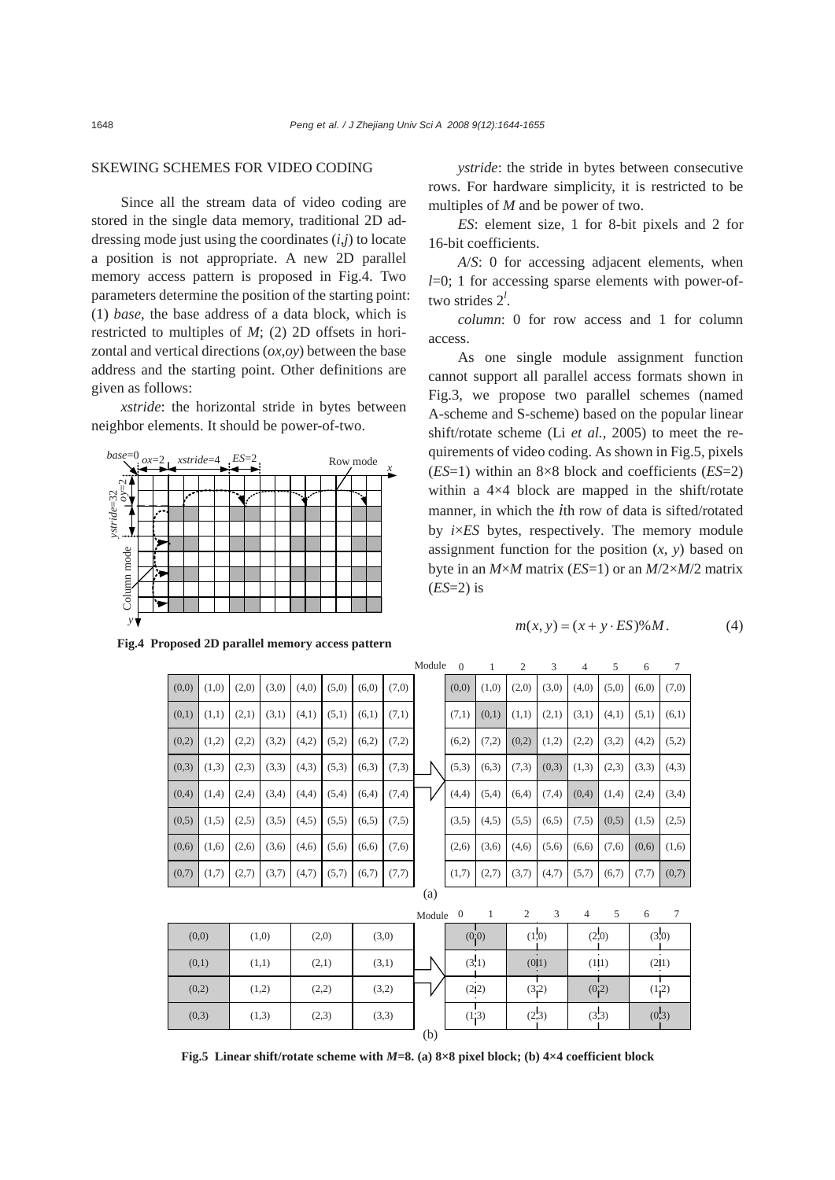## SKEWING SCHEMES FOR VIDEO CODING

Since all the stream data of video coding are stored in the single data memory, traditional 2D addressing mode just using the coordinates (*i*,*j*) to locate a position is not appropriate. A new 2D parallel memory access pattern is proposed in Fig.4. Two parameters determine the position of the starting point: (1) *base*, the base address of a data block, which is restricted to multiples of *M*; (2) 2D offsets in horizontal and vertical directions (*ox*,*oy*) between the base address and the starting point. Other definitions are given as follows:

*xstride*: the horizontal stride in bytes between neighbor elements. It should be power-of-two.



*ystride*: the stride in bytes between consecutive rows. For hardware simplicity, it is restricted to be multiples of *M* and be power of two.

*ES*: element size, 1 for 8-bit pixels and 2 for 16-bit coefficients.

*A*/*S*: 0 for accessing adjacent elements, when *l*=0; 1 for accessing sparse elements with power-oftwo strides 2*<sup>l</sup>* .

*column*: 0 for row access and 1 for column access.

As one single module assignment function cannot support all parallel access formats shown in Fig.3, we propose two parallel schemes (named A-scheme and S-scheme) based on the popular linear shift/rotate scheme (Li *et al.*, 2005) to meet the requirements of video coding. As shown in Fig.5, pixels (*ES*=1) within an 8×8 block and coefficients (*ES*=2) within a 4×4 block are mapped in the shift/rotate manner, in which the *i*th row of data is sifted/rotated by *i*×*ES* bytes, respectively. The memory module assignment function for the position  $(x, y)$  based on byte in an *M*×*M* matrix (*ES*=1) or an *M*/2×*M*/2 matrix (*ES*=2) is

$$
m(x, y) = (x + y \cdot ES)\%M. \tag{4}
$$

|       |       |       |       |       |       |       |       | Module | $\Omega$ | 1      | $\overline{2}$ | 3     | 4              | 5     | 6     | 7               |
|-------|-------|-------|-------|-------|-------|-------|-------|--------|----------|--------|----------------|-------|----------------|-------|-------|-----------------|
| (0,0) | (1,0) | (2,0) | (3,0) | (4,0) | (5,0) | (6,0) | (7,0) |        | (0,0)    | (1,0)  | (2,0)          | (3,0) | (4,0)          | (5,0) | (6,0) | (7,0)           |
| (0,1) | (1,1) | (2,1) | (3,1) | (4,1) | (5,1) | (6,1) | (7,1) |        | (7,1)    | (0,1)  | (1,1)          | (2,1) | (3,1)          | (4,1) | (5,1) | (6,1)           |
| (0,2) | (1,2) | (2,2) | (3,2) | (4,2) | (5,2) | (6,2) | (7,2) |        | (6,2)    | (7,2)  | (0,2)          | (1,2) | (2,2)          | (3,2) | (4,2) | (5,2)           |
| (0,3) | (1,3) | (2,3) | (3,3) | (4,3) | (5,3) | (6,3) | (7,3) |        | (5,3)    | (6,3)  | (7,3)          | (0,3) | (1,3)          | (2,3) | (3,3) | (4,3)           |
| (0,4) | (1,4) | (2,4) | (3,4) | (4,4) | (5,4) | (6,4) | (7,4) |        | (4,4)    | (5,4)  | (6,4)          | (7,4) | (0,4)          | (1,4) | (2,4) | (3,4)           |
| (0,5) | (1.5) | (2,5) | (3,5) | (4,5) | (5,5) | (6.5) | (7.5) |        | (3,5)    | (4,5)  | (5,5)          | (6.5) | (7,5)          | (0,5) | (1,5) | (2,5)           |
| (0,6) | (1,6) | (2,6) | (3,6) | (4,6) | (5,6) | (6,6) | (7,6) |        | (2,6)    | (3,6)  | (4,6)          | (5,6) | (6,6)          | (7,6) | (0,6) | (1,6)           |
| (0,7) | (1,7) | (2,7) | (3,7) | (4,7) | (5,7) | (6,7) | (7,7) |        | (1,7)    | (2,7)  | (3,7)          | (4,7) | (5,7)          | (6,7) | (7,7) | (0,7)           |
|       |       |       |       |       |       | (a)   |       |        |          |        |                |       |                |       |       |                 |
|       |       |       |       |       |       |       |       | Module | $\theta$ | 1      | $\overline{c}$ | 3     | $\overline{4}$ | 5     | 6     | $7\phantom{.0}$ |
| (0,0) |       | (1,0) |       | (2,0) |       | (3,0) |       |        |          | (0, 0) |                | (1,0) |                | (2,0) |       | (3,0)           |
| (0,1) |       | (1,1) |       | (2,1) |       |       | (3,1) |        |          | (3,1)  |                | (0 1) |                | (1 1) |       | (2 1)           |
| (0,2) |       | (1,2) |       | (2,2) |       | (3,2) |       |        |          | (2 2)  |                | (3,2) |                | (0,2) |       | (1,2)           |
|       | (0,3) |       | (1,3) | (2,3) |       |       | (3,3) |        |          | (1,3)  |                | (2,3) |                | (3,3) |       | (0,3)           |
|       |       |       |       |       |       |       |       | (b)    |          |        |                |       |                |       |       |                 |

**Fig.5 Linear shift/rotate scheme with** *M***=8. (a) 8×8 pixel block; (b) 4×4 coefficient block**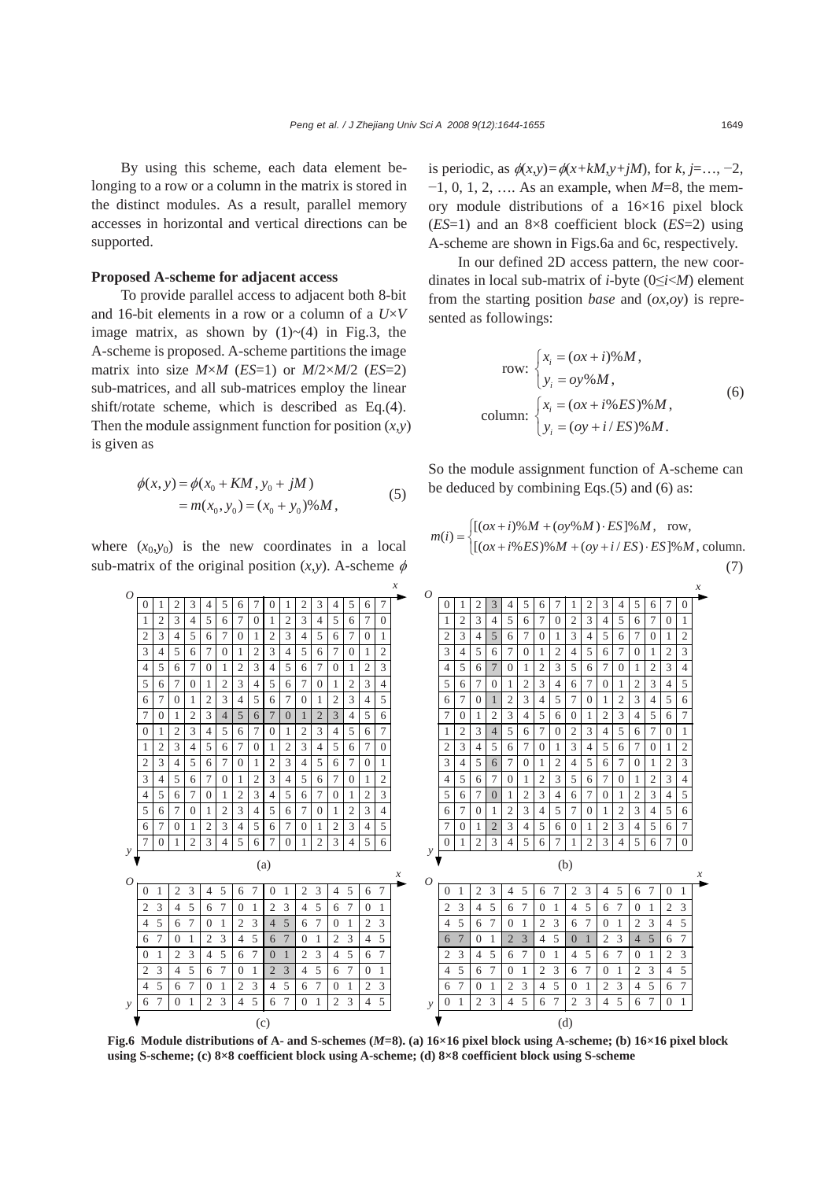By using this scheme, each data element belonging to a row or a column in the matrix is stored in the distinct modules. As a result, parallel memory accesses in horizontal and vertical directions can be supported.

## **Proposed A-scheme for adjacent access**

To provide parallel access to adjacent both 8-bit and 16-bit elements in a row or a column of a *U*×*V* image matrix, as shown by  $(1)$   $\sim$   $(4)$  in Fig.3, the A-scheme is proposed. A-scheme partitions the image matrix into size  $M \times M$  (*ES*=1) or  $M/2 \times M/2$  (*ES*=2) sub-matrices, and all sub-matrices employ the linear shift/rotate scheme, which is described as Eq.(4). Then the module assignment function for position  $(x, y)$ is given as

$$
\phi(x, y) = \phi(x_0 + KM, y_0 + jM)
$$
  
=  $m(x_0, y_0) = (x_0 + y_0)\%M,$  (5)

where  $(x_0, y_0)$  is the new coordinates in a local sub-matrix of the original position  $(x, y)$ . A-scheme  $\phi$  is periodic, as  $\phi(x,y) = \phi(x+kM, y+jM)$ , for  $k, j = \ldots, -2$ , −1, 0, 1, 2, …. As an example, when *M*=8, the memory module distributions of a 16×16 pixel block (*ES*=1) and an 8×8 coefficient block (*ES*=2) using A-scheme are shown in Figs.6a and 6c, respectively.

In our defined 2D access pattern, the new coordinates in local sub-matrix of *i*-byte (0≤*i*<*M*) element from the starting position *base* and (*ox*,*oy*) is represented as followings:

row: 
$$
\begin{cases} x_i = (\alpha x + i)\% M, \\ y_i = \alpha y \% M, \end{cases}
$$
  
column: 
$$
\begin{cases} x_i = (\alpha x + i\% ES)\% M, \\ y_i = (\alpha y + i/ES)\% M. \end{cases}
$$
 (6)

So the module assignment function of A-scheme can be deduced by combining Eqs.(5) and (6) as:

$$
m(i) = \begin{cases} [(ox + i) \% M + (oy % M) \cdot ES] \% M, & \text{row,} \\ [(ox + i \% ES) \% M + (oy + i / ES) \cdot ES] \% M, & \text{column.} \end{cases}
$$
(7)



**Fig.6 Module distributions of A- and S-schemes (***M***=8). (a) 16×16 pixel block using A-scheme; (b) 16×16 pixel block using S-scheme; (c) 8×8 coefficient block using A-scheme; (d) 8×8 coefficient block using S-scheme**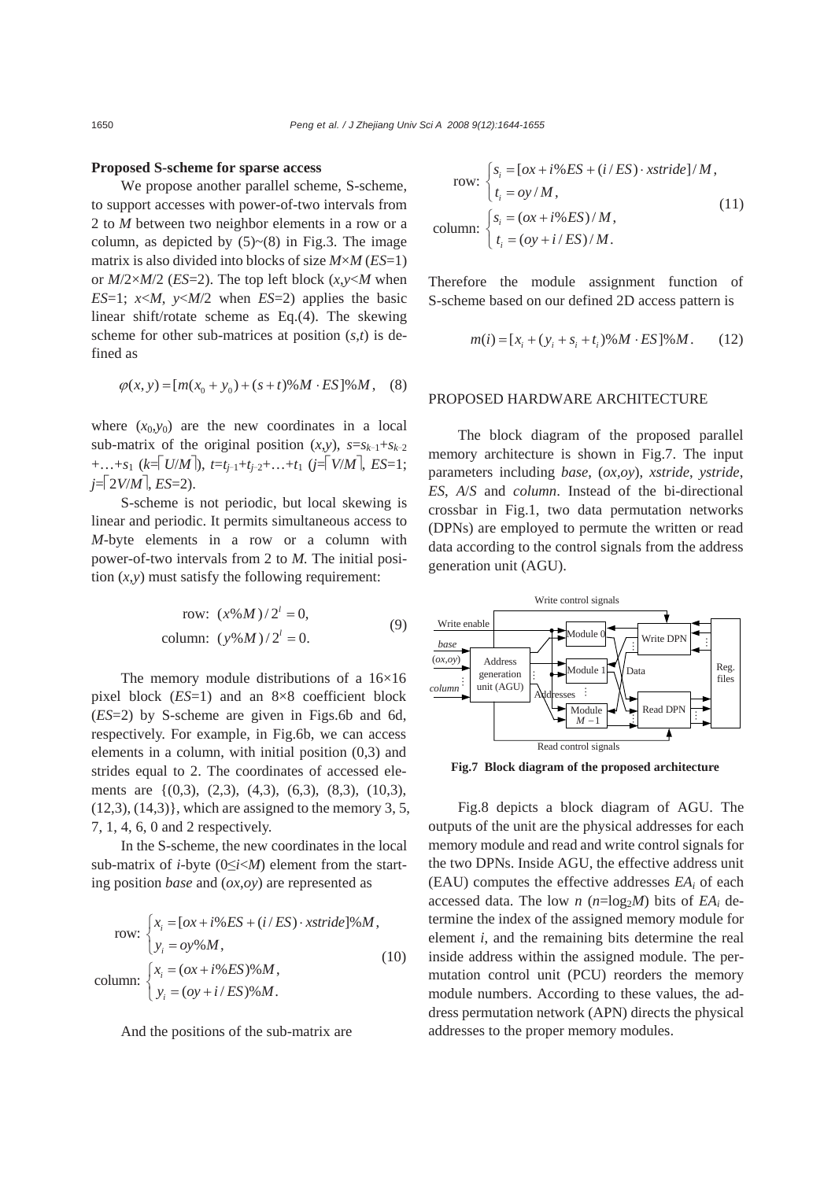#### **Proposed S-scheme for sparse access**

We propose another parallel scheme, S-scheme, to support accesses with power-of-two intervals from 2 to *M* between two neighbor elements in a row or a column, as depicted by  $(5)~(8)$  in Fig.3. The image matrix is also divided into blocks of size *M*×*M* (*ES*=1) or  $M/2 \times M/2$  (*ES*=2). The top left block  $(x, y \le M)$  when *ES*=1;  $x \le M$ ,  $y \le M/2$  when *ES*=2) applies the basic linear shift/rotate scheme as Eq.(4). The skewing scheme for other sub-matrices at position (*s*,*t*) is defined as

$$
\varphi(x, y) = [m(x_0 + y_0) + (s + t) \% M \cdot ES] \% M, \quad (8)
$$

where  $(x_0, y_0)$  are the new coordinates in a local sub-matrix of the original position  $(x, y)$ ,  $s=s_{k-1}+s_{k-2}$ +…+*s*1 (*k*=⎡*U*/*M*⎤), *t*=*tj*−1+*tj*−2+…+*t*1 (*j*=⎡*V*/*M*⎤, *ES*=1;  $j = \lceil 2V/M \rceil, ES = 2$ .

S-scheme is not periodic, but local skewing is linear and periodic. It permits simultaneous access to *M*-byte elements in a row or a column with power-of-two intervals from 2 to *M.* The initial position  $(x, y)$  must satisfy the following requirement:

row: 
$$
(x\%M)/2^i = 0,
$$
  
column:  $(y\%M)/2^i = 0.$  (9)

The memory module distributions of a 16×16 pixel block (*ES*=1) and an 8×8 coefficient block (*ES*=2) by S-scheme are given in Figs.6b and 6d, respectively. For example, in Fig.6b, we can access elements in a column, with initial position (0,3) and strides equal to 2. The coordinates of accessed elements are {(0,3), (2,3), (4,3), (6,3), (8,3), (10,3),  $(12,3)$ ,  $(14,3)$ }, which are assigned to the memory 3, 5, 7, 1, 4, 6, 0 and 2 respectively.

In the S-scheme, the new coordinates in the local sub-matrix of *i*-byte (0≤*i*<*M*) element from the starting position *base* and (*ox*,*oy*) are represented as

row: 
$$
\begin{cases} x_i = [\alpha x + i\%ES + (i/ES) \cdot xstride]\%M, \\ y_i = \alpha y \%M, \end{cases}
$$
  
column: 
$$
\begin{cases} x_i = (\alpha x + i\%ES)\%M, \\ y_i = (\alpha y + i/ES)\%M. \end{cases}
$$
 (10)

And the positions of the sub-matrix are

row: 
$$
\begin{cases} s_i = [\alpha x + i\%ES + (i/ES) \cdot x \text{stride}]/M, \\ t_i = \frac{oy}{M}, \\ \text{column:} \begin{cases} s_i = (\alpha x + i\%ES)/M, \\ t_i = (\frac{oy}{i} + i/ES)/M. \end{cases} \end{cases}
$$
 (11)

Therefore the module assignment function of S-scheme based on our defined 2D access pattern is

$$
m(i) = [x_i + (y_i + s_i + t_i) \% M \cdot ES] \% M. \tag{12}
$$

#### PROPOSED HARDWARE ARCHITECTURE

The block diagram of the proposed parallel memory architecture is shown in Fig.7. The input parameters including *base*, (*ox*,*oy*), *xstride*, *ystride*, *ES*, *A*/*S* and *column*. Instead of the bi-directional crossbar in Fig.1, two data permutation networks (DPNs) are employed to permute the written or read data according to the control signals from the address generation unit (AGU).



**Fig.7 Block diagram of the proposed architecture** 

Fig.8 depicts a block diagram of AGU. The outputs of the unit are the physical addresses for each memory module and read and write control signals for the two DPNs. Inside AGU, the effective address unit (EAU) computes the effective addresses *EAi* of each accessed data. The low *n* ( $n = \log_2 M$ ) bits of *EA<sub>i</sub>* determine the index of the assigned memory module for element *i*, and the remaining bits determine the real inside address within the assigned module. The permutation control unit (PCU) reorders the memory module numbers. According to these values, the address permutation network (APN) directs the physical addresses to the proper memory modules.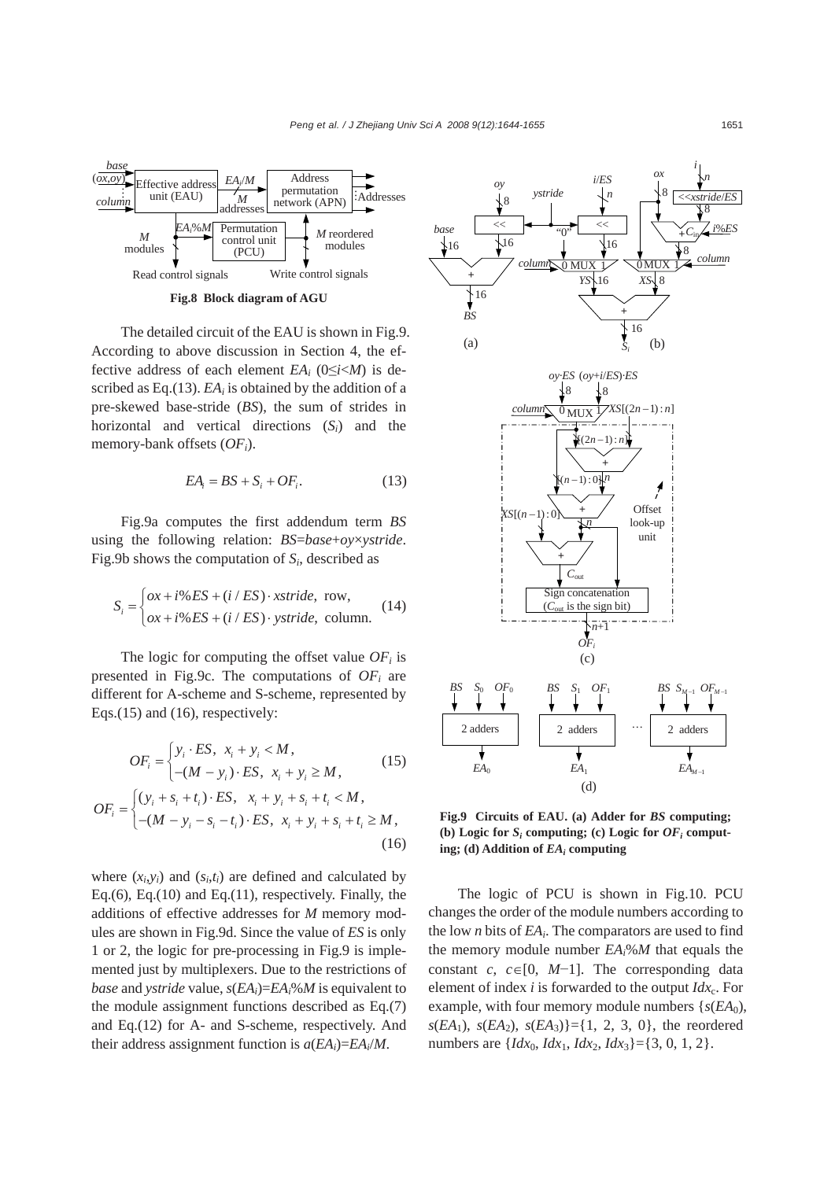

**Fig.8 Block diagram of AGU** 

The detailed circuit of the EAU is shown in Fig.9. According to above discussion in Section 4, the effective address of each element  $EA_i$  ( $0 \le i \le M$ ) is described as Eq. $(13)$ . *EA<sub>i</sub>* is obtained by the addition of a pre-skewed base-stride (*BS*), the sum of strides in horizontal and vertical directions (*Si*) and the memory-bank offsets (*OFi*).

$$
EA_i = BS + S_i + OF_i.
$$
 (13)

Fig.9a computes the first addendum term *BS* using the following relation: *BS*=*base*+*oy*×*ystride*. Fig.9b shows the computation of *Si*, described as

$$
S_i = \begin{cases} \n\alpha + i\% ES + (i/ES) \cdot x \, \text{stride, row,} \\ \n\alpha + i\% ES + (i/ES) \cdot y \, \text{stride, column.} \n\end{cases} \tag{14}
$$

The logic for computing the offset value  $OF<sub>i</sub>$  is presented in Fig.9c. The computations of  $OF<sub>i</sub>$  are different for A-scheme and S-scheme, represented by Eqs.(15) and (16), respectively:

$$
OF_i = \begin{cases} y_i \cdot ES, & x_i + y_i < M, \\ -(M - y_i) \cdot ES, & x_i + y_i \ge M, \end{cases} \tag{15}
$$

$$
OF_i = \begin{cases} (y_i + s_i + t_i) \cdot ES, & x_i + y_i + s_i + t_i < M, \\ -(M - y_i - s_i - t_i) \cdot ES, & x_i + y_i + s_i + t_i \ge M, \\ (16) \end{cases}
$$

where  $(x_i, y_i)$  and  $(s_i, t_i)$  are defined and calculated by Eq.(6), Eq.(10) and Eq.(11), respectively. Finally, the additions of effective addresses for *M* memory modules are shown in Fig.9d. Since the value of *ES* is only 1 or 2, the logic for pre-processing in Fig.9 is implemented just by multiplexers. Due to the restrictions of *base* and *ystride* value,  $s(EA_i)=EA_i\%M$  is equivalent to the module assignment functions described as Eq.(7) and Eq.(12) for A- and S-scheme, respectively. And their address assignment function is  $a(EA_i)=EA_i/M$ .



**Fig.9 Circuits of EAU. (a) Adder for** *BS* **computing;**  (b) Logic for  $S_i$  computing; (c) Logic for  $OF_i$  comput**ing; (d) Addition of** *EAi* **computing** 

The logic of PCU is shown in Fig.10. PCU changes the order of the module numbers according to the low *n* bits of *EAi*. The comparators are used to find the memory module number  $EA_i\%M$  that equals the constant *c*,  $c \in [0, M-1]$ . The corresponding data element of index  $i$  is forwarded to the output  $Idx_c$ . For example, with four memory module numbers  $\{s(EA_0),\}$  $s(EA_1)$ ,  $s(EA_2)$ ,  $s(EA_3)$  = {1, 2, 3, 0}, the reordered numbers are  $\{Idx_0, \,Idx_1, \,Idx_2, \,Idx_3\} = \{3, 0, 1, 2\}.$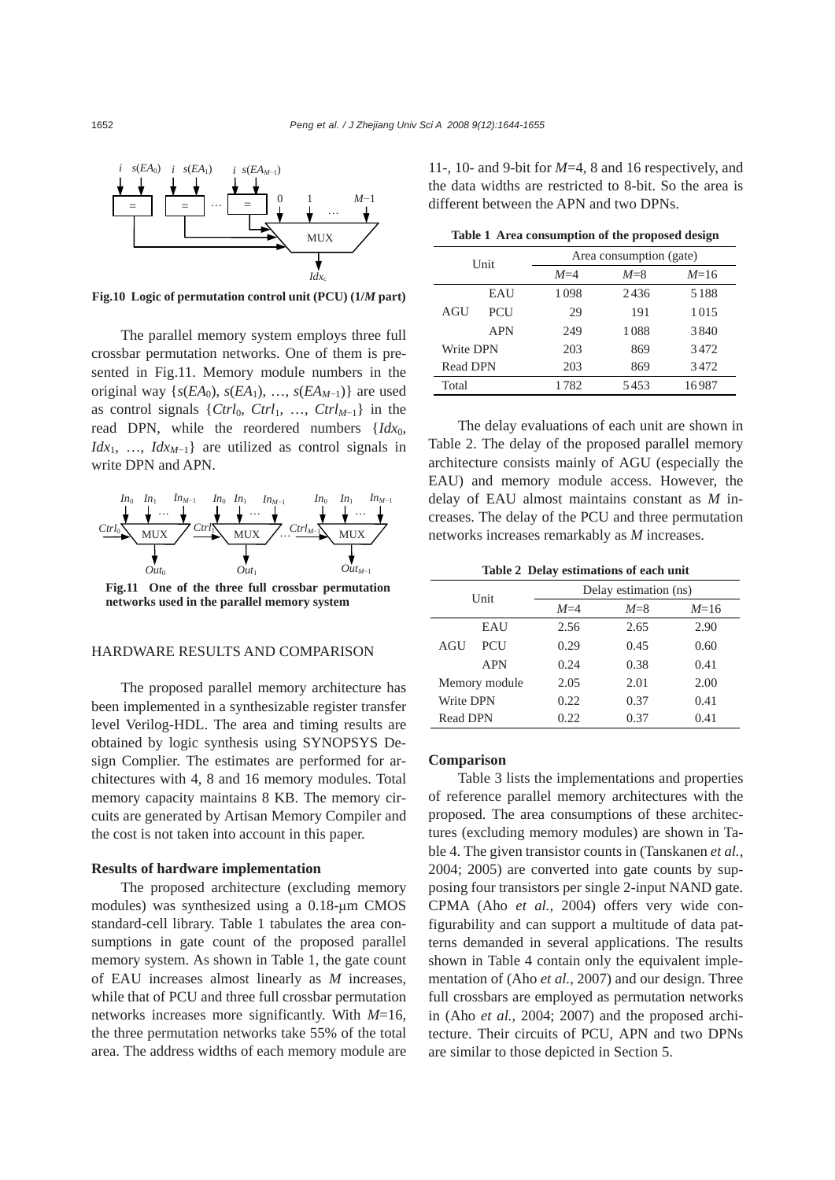

**Fig.10 Logic of permutation control unit (PCU) (1/***M* **part)**

The parallel memory system employs three full crossbar permutation networks. One of them is presented in Fig.11. Memory module numbers in the original way  $\{s(EA_0), s(EA_1), \ldots, s(EA_{M-1})\}$  are used as control signals {*Ctrl*<sub>0</sub>, *Ctrl*<sub>1</sub>, ..., *Ctrl*<sub>*M*−1</sub>} in the read DPN, while the reordered numbers {*Idx*<sub>0</sub>, *Idx*<sub>1</sub>, …, *Idx*<sub>*M*−1</sub>} are utilized as control signals in write DPN and APN.



**networks used in the parallel memory system** 

#### HARDWARE RESULTS AND COMPARISON

The proposed parallel memory architecture has been implemented in a synthesizable register transfer level Verilog-HDL. The area and timing results are obtained by logic synthesis using SYNOPSYS Design Complier. The estimates are performed for architectures with 4, 8 and 16 memory modules. Total memory capacity maintains 8 KB. The memory circuits are generated by Artisan Memory Compiler and the cost is not taken into account in this paper.

#### **Results of hardware implementation**

The proposed architecture (excluding memory modules) was synthesized using a 0.18-μm CMOS standard-cell library. Table 1 tabulates the area consumptions in gate count of the proposed parallel memory system. As shown in Table 1, the gate count of EAU increases almost linearly as *M* increases, while that of PCU and three full crossbar permutation networks increases more significantly. With *M*=16, the three permutation networks take 55% of the total area. The address widths of each memory module are

11-, 10- and 9-bit for *M*=4, 8 and 16 respectively, and the data widths are restricted to 8-bit. So the area is different between the APN and two DPNs.

|  |  | Table 1 Area consumption of the proposed design |  |  |  |
|--|--|-------------------------------------------------|--|--|--|
|--|--|-------------------------------------------------|--|--|--|

|                 | Unit       | Area consumption (gate) |         |        |  |  |  |
|-----------------|------------|-------------------------|---------|--------|--|--|--|
|                 |            | $M=4$                   | $M = 8$ | $M=16$ |  |  |  |
|                 | EAU        | 1098                    | 2436    | 5188   |  |  |  |
| AGU             | <b>PCU</b> | 29                      | 191     | 1015   |  |  |  |
|                 | <b>APN</b> | 249                     | 1088    | 3840   |  |  |  |
| Write DPN       |            | 203                     | 869     | 3472   |  |  |  |
| <b>Read DPN</b> |            | 203                     | 869     | 3472   |  |  |  |
| Total           |            | 1782                    | 5453    | 16987  |  |  |  |

The delay evaluations of each unit are shown in Table 2. The delay of the proposed parallel memory architecture consists mainly of AGU (especially the EAU) and memory module access. However, the delay of EAU almost maintains constant as *M* increases. The delay of the PCU and three permutation networks increases remarkably as *M* increases.

**Table 2 Delay estimations of each unit** 

|                 | Unit       | Delay estimation (ns) |         |        |  |  |  |  |
|-----------------|------------|-----------------------|---------|--------|--|--|--|--|
|                 |            | $M=4$                 | $M = 8$ | $M=16$ |  |  |  |  |
|                 | EAU        | 2.56                  | 2.65    | 2.90   |  |  |  |  |
| AGU             | <b>PCU</b> | 0.29                  | 0.45    | 0.60   |  |  |  |  |
|                 | <b>APN</b> | 0.24                  | 0.38    | 0.41   |  |  |  |  |
| Memory module   |            | 2.05                  | 2.01    | 2.00   |  |  |  |  |
| Write DPN       |            | 0.22                  | 0.37    | 0.41   |  |  |  |  |
| <b>Read DPN</b> |            | 0.22.                 | 0.37    | 0.41   |  |  |  |  |

#### **Comparison**

Table 3 lists the implementations and properties of reference parallel memory architectures with the proposed. The area consumptions of these architectures (excluding memory modules) are shown in Table 4. The given transistor counts in (Tanskanen *et al.*, 2004; 2005) are converted into gate counts by supposing four transistors per single 2-input NAND gate. CPMA (Aho *et al.*, 2004) offers very wide configurability and can support a multitude of data patterns demanded in several applications. The results shown in Table 4 contain only the equivalent implementation of (Aho *et al.*, 2007) and our design. Three full crossbars are employed as permutation networks in (Aho *et al.*, 2004; 2007) and the proposed architecture. Their circuits of PCU, APN and two DPNs are similar to those depicted in Section 5.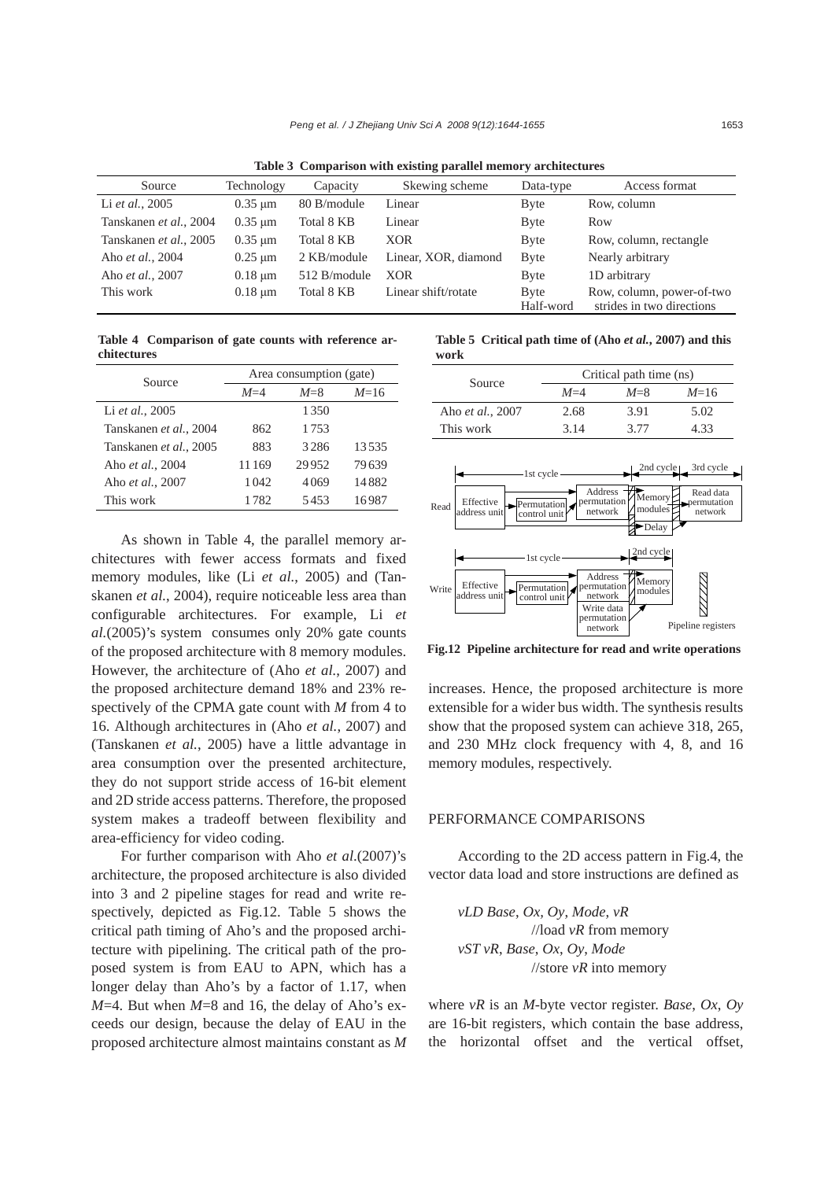**Table 3 Comparison with existing parallel memory architectures** 

| Source                          | Technology<br>Capacity |             | Skewing scheme       | Data-type         | Access format                                          |
|---------------------------------|------------------------|-------------|----------------------|-------------------|--------------------------------------------------------|
| Li et al., 2005<br>$0.35 \mu m$ |                        | 80 B/module | Linear               | <b>B</b> yte      | Row, column                                            |
| Tanskanen et al., 2004          | $0.35 \mu m$           | Total 8 KB  | Linear               | <b>B</b> yte      | Row                                                    |
| Tanskanen et al., 2005          | $0.35 \mu m$           | Total 8 KB  | <b>XOR</b>           | <b>B</b> yte      | Row, column, rectangle                                 |
| Aho et al., 2004                | $0.25 \mu m$           | 2 KB/module | Linear, XOR, diamond | <b>B</b> yte      | Nearly arbitrary                                       |
| Aho et al., 2007                | $0.18 \mu m$           | 512 B/mol   | <b>XOR</b>           | <b>B</b> yte      | 1D arbitrary                                           |
| This work                       | $0.18 \mu m$           | Total 8 KB  | Linear shift/rotate  | Byte<br>Half-word | Row, column, power-of-two<br>strides in two directions |

**Table 4 Comparison of gate counts with reference architectures**

| Source                 |                  | Area consumption (gate) |        | Source                                          |
|------------------------|------------------|-------------------------|--------|-------------------------------------------------|
|                        | $M=4$<br>$M = 8$ |                         | $M=16$ | Λ                                               |
| Li et al., 2005        |                  | 1350                    |        | 2<br>Aho et al., 2007                           |
| Tanskanen et al., 2004 | 862              | 1753                    |        | 3<br>This work                                  |
| Tanskanen et al., 2005 | 883              | 3286                    | 13535  |                                                 |
| Aho et al., 2004       | 11169            | 29952                   | 79639  |                                                 |
| Aho et al., 2007       | 1042             | 4069                    | 14882  | $-1st$ cycle $-$                                |
| This work              | 1782             | 5453                    | 16987  | Effective<br>ermutation<br>Read<br>addrace unit |

As shown in Table 4, the parallel memory architectures with fewer access formats and fixed memory modules, like (Li *et al.*, 2005) and (Tanskanen *et al.*, 2004), require noticeable less area than configurable architectures. For example, Li *et al.*(2005)'s system consumes only 20% gate counts of the proposed architecture with 8 memory modules. However, the architecture of (Aho *et al.*, 2007) and the proposed architecture demand 18% and 23% respectively of the CPMA gate count with *M* from 4 to 16. Although architectures in (Aho *et al.*, 2007) and (Tanskanen *et al.*, 2005) have a little advantage in area consumption over the presented architecture, they do not support stride access of 16-bit element and 2D stride access patterns. Therefore, the proposed system makes a tradeoff between flexibility and area-efficiency for video coding.

For further comparison with Aho *et al*.(2007)'s architecture, the proposed architecture is also divided into 3 and 2 pipeline stages for read and write respectively, depicted as Fig.12. Table 5 shows the critical path timing of Aho's and the proposed architecture with pipelining. The critical path of the proposed system is from EAU to APN, which has a longer delay than Aho's by a factor of 1.17, when  $M=4$ . But when  $M=8$  and 16, the delay of Aho's exceeds our design, because the delay of EAU in the proposed architecture almost maintains constant as *M* **Table 5 Critical path time of (Aho** *et al.***, 2007) and this work** 

| Source           | Critical path time (ns) |         |        |  |  |  |  |  |
|------------------|-------------------------|---------|--------|--|--|--|--|--|
|                  | $M=4$                   | $M = 8$ | $M=16$ |  |  |  |  |  |
| Aho et al., 2007 | 2.68                    | 3.91    | 5.02   |  |  |  |  |  |
| This work        | 3.14                    | 3.77    | 4.33   |  |  |  |  |  |



**Fig.12 Pipeline architecture for read and write operations**

increases. Hence, the proposed architecture is more extensible for a wider bus width. The synthesis results show that the proposed system can achieve 318, 265, and 230 MHz clock frequency with 4, 8, and 16 memory modules, respectively.

#### PERFORMANCE COMPARISONS

According to the 2D access pattern in Fig.4, the vector data load and store instructions are defined as

*vLD Base*, *Ox, Oy*, *Mode*, *vR* //load *vR* from memory *vST vR*, *Base*, *Ox*, *Oy*, *Mode*  //store *vR* into memory

where *vR* is an *M*-byte vector register. *Base*, *Ox*, *Oy* are 16-bit registers, which contain the base address, the horizontal offset and the vertical offset,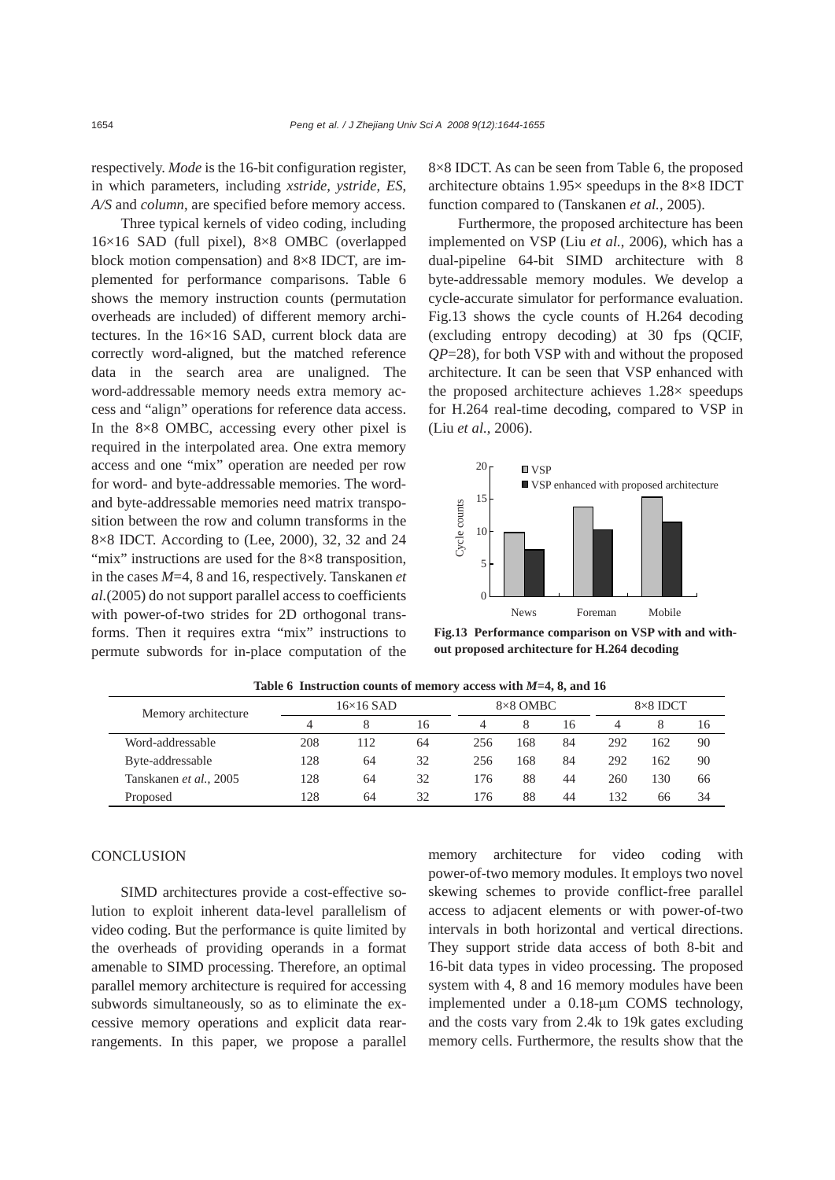respectively. *Mode* is the 16-bit configuration register, in which parameters, including *xstride*, *ystride*, *ES*, *A/S* and *column*, are specified before memory access.

Three typical kernels of video coding, including 16×16 SAD (full pixel), 8×8 OMBC (overlapped block motion compensation) and 8×8 IDCT, are implemented for performance comparisons. Table 6 shows the memory instruction counts (permutation overheads are included) of different memory architectures. In the 16×16 SAD, current block data are correctly word-aligned, but the matched reference data in the search area are unaligned. The word-addressable memory needs extra memory access and "align" operations for reference data access. In the 8×8 OMBC, accessing every other pixel is required in the interpolated area. One extra memory access and one "mix" operation are needed per row for word- and byte-addressable memories. The wordand byte-addressable memories need matrix transposition between the row and column transforms in the 8×8 IDCT. According to (Lee, 2000), 32, 32 and 24 "mix" instructions are used for the 8×8 transposition, in the cases *M*=4, 8 and 16, respectively. Tanskanen *et al.*(2005) do not support parallel access to coefficients with power-of-two strides for 2D orthogonal transforms. Then it requires extra "mix" instructions to permute subwords for in-place computation of the 8×8 IDCT. As can be seen from Table 6, the proposed architecture obtains 1.95× speedups in the 8×8 IDCT function compared to (Tanskanen *et al.*, 2005).

Furthermore, the proposed architecture has been implemented on VSP (Liu *et al.*, 2006), which has a dual-pipeline 64-bit SIMD architecture with 8 byte-addressable memory modules. We develop a cycle-accurate simulator for performance evaluation. Fig.13 shows the cycle counts of H.264 decoding (excluding entropy decoding) at 30 fps (QCIF, *QP*=28), for both VSP with and without the proposed architecture. It can be seen that VSP enhanced with the proposed architecture achieves 1.28× speedups for H.264 real-time decoding, compared to VSP in (Liu *et al.*, 2006).



**Fig.13 Performance comparison on VSP with and without proposed architecture for H.264 decoding** 

| Memory architecture    | $16\times16$ SAD |     | $8\times8$ OMBC |     | $8\times8$ IDCT |    |     |     |    |
|------------------------|------------------|-----|-----------------|-----|-----------------|----|-----|-----|----|
|                        |                  |     | 16              |     |                 | 16 |     |     | 16 |
| Word-addressable       | 208              | 112 | 64              | 256 | 168             | 84 | 292 | 162 | 90 |
| Byte-addressable       | 128              | 64  | 32              | 256 | 168             | 84 | 292 | 162 | 90 |
| Tanskanen et al., 2005 | 128              | 64  | 32              | 176 | 88              | 44 | 260 | 130 | 66 |
| Proposed               | 128              | 64  | 32              | 176 | 88              | 44 | 132 | 66  | 34 |

**Table 6 Instruction counts of memory access with** *M***=4, 8, and 16** 

## **CONCLUSION**

SIMD architectures provide a cost-effective solution to exploit inherent data-level parallelism of video coding. But the performance is quite limited by the overheads of providing operands in a format amenable to SIMD processing. Therefore, an optimal parallel memory architecture is required for accessing subwords simultaneously, so as to eliminate the excessive memory operations and explicit data rearrangements. In this paper, we propose a parallel

memory architecture for video coding with power-of-two memory modules. It employs two novel skewing schemes to provide conflict-free parallel access to adjacent elements or with power-of-two intervals in both horizontal and vertical directions. They support stride data access of both 8-bit and 16-bit data types in video processing. The proposed system with 4, 8 and 16 memory modules have been implemented under a 0.18-μm COMS technology, and the costs vary from 2.4k to 19k gates excluding memory cells. Furthermore, the results show that the